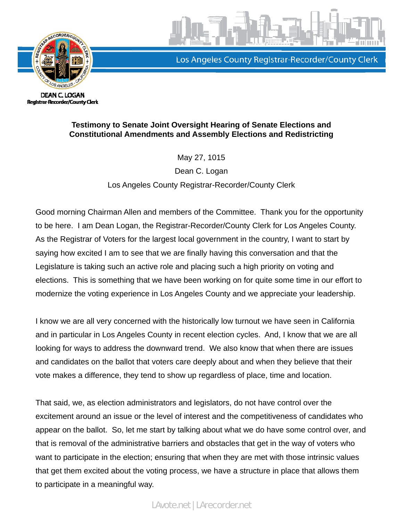

Los Angeles County Registrar-Recorder/County Clerk

**DEAN C. LOGAN** Registrar-Recorder/County Clerk

## **Testimony to Senate Joint Oversight Hearing of Senate Elections and Constitutional Amendments and Assembly Elections and Redistricting**

May 27, 1015

Dean C. Logan Los Angeles County Registrar-Recorder/County Clerk

Good morning Chairman Allen and members of the Committee. Thank you for the opportunity to be here. I am Dean Logan, the Registrar-Recorder/County Clerk for Los Angeles County. As the Registrar of Voters for the largest local government in the country, I want to start by saying how excited I am to see that we are finally having this conversation and that the Legislature is taking such an active role and placing such a high priority on voting and elections. This is something that we have been working on for quite some time in our effort to modernize the voting experience in Los Angeles County and we appreciate your leadership.

I know we are all very concerned with the historically low turnout we have seen in California and in particular in Los Angeles County in recent election cycles. And, I know that we are all looking for ways to address the downward trend. We also know that when there are issues and candidates on the ballot that voters care deeply about and when they believe that their vote makes a difference, they tend to show up regardless of place, time and location.

That said, we, as election administrators and legislators, do not have control over the excitement around an issue or the level of interest and the competitiveness of candidates who appear on the ballot. So, let me start by talking about what we do have some control over, and that is removal of the administrative barriers and obstacles that get in the way of voters who want to participate in the election; ensuring that when they are met with those intrinsic values that get them excited about the voting process, we have a structure in place that allows them to participate in a meaningful way.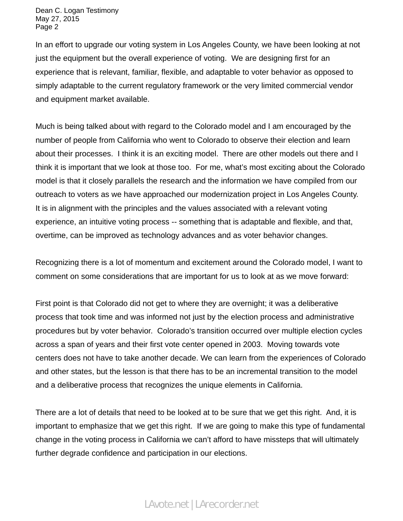Dean C. Logan Testimony May 27, 2015 Page 2

In an effort to upgrade our voting system in Los Angeles County, we have been looking at not just the equipment but the overall experience of voting. We are designing first for an experience that is relevant, familiar, flexible, and adaptable to voter behavior as opposed to simply adaptable to the current regulatory framework or the very limited commercial vendor and equipment market available.

Much is being talked about with regard to the Colorado model and I am encouraged by the number of people from California who went to Colorado to observe their election and learn about their processes. I think it is an exciting model. There are other models out there and I think it is important that we look at those too. For me, what's most exciting about the Colorado model is that it closely parallels the research and the information we have compiled from our outreach to voters as we have approached our modernization project in Los Angeles County. It is in alignment with the principles and the values associated with a relevant voting experience, an intuitive voting process -- something that is adaptable and flexible, and that, overtime, can be improved as technology advances and as voter behavior changes.

Recognizing there is a lot of momentum and excitement around the Colorado model, I want to comment on some considerations that are important for us to look at as we move forward:

First point is that Colorado did not get to where they are overnight; it was a deliberative process that took time and was informed not just by the election process and administrative procedures but by voter behavior. Colorado's transition occurred over multiple election cycles across a span of years and their first vote center opened in 2003. Moving towards vote centers does not have to take another decade. We can learn from the experiences of Colorado and other states, but the lesson is that there has to be an incremental transition to the model and a deliberative process that recognizes the unique elements in California.

There are a lot of details that need to be looked at to be sure that we get this right. And, it is important to emphasize that we get this right. If we are going to make this type of fundamental change in the voting process in California we can't afford to have missteps that will ultimately further degrade confidence and participation in our elections.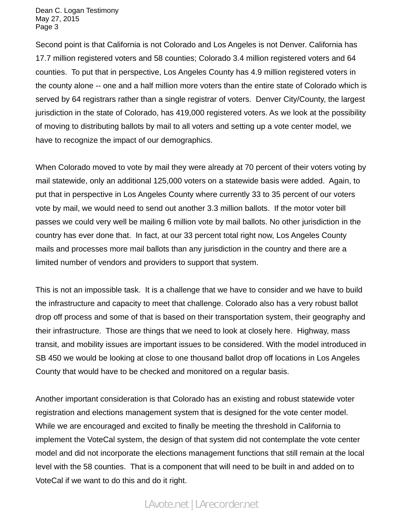Dean C. Logan Testimony May 27, 2015 Page 3

Second point is that California is not Colorado and Los Angeles is not Denver. California has 17.7 million registered voters and 58 counties; Colorado 3.4 million registered voters and 64 counties. To put that in perspective, Los Angeles County has 4.9 million registered voters in the county alone -- one and a half million more voters than the entire state of Colorado which is served by 64 registrars rather than a single registrar of voters. Denver City/County, the largest jurisdiction in the state of Colorado, has 419,000 registered voters. As we look at the possibility of moving to distributing ballots by mail to all voters and setting up a vote center model, we have to recognize the impact of our demographics.

When Colorado moved to vote by mail they were already at 70 percent of their voters voting by mail statewide, only an additional 125,000 voters on a statewide basis were added. Again, to put that in perspective in Los Angeles County where currently 33 to 35 percent of our voters vote by mail, we would need to send out another 3.3 million ballots. If the motor voter bill passes we could very well be mailing 6 million vote by mail ballots. No other jurisdiction in the country has ever done that. In fact, at our 33 percent total right now, Los Angeles County mails and processes more mail ballots than any jurisdiction in the country and there are a limited number of vendors and providers to support that system.

This is not an impossible task. It is a challenge that we have to consider and we have to build the infrastructure and capacity to meet that challenge. Colorado also has a very robust ballot drop off process and some of that is based on their transportation system, their geography and their infrastructure. Those are things that we need to look at closely here. Highway, mass transit, and mobility issues are important issues to be considered. With the model introduced in SB 450 we would be looking at close to one thousand ballot drop off locations in Los Angeles County that would have to be checked and monitored on a regular basis.

Another important consideration is that Colorado has an existing and robust statewide voter registration and elections management system that is designed for the vote center model. While we are encouraged and excited to finally be meeting the threshold in California to implement the VoteCal system, the design of that system did not contemplate the vote center model and did not incorporate the elections management functions that still remain at the local level with the 58 counties. That is a component that will need to be built in and added on to VoteCal if we want to do this and do it right.

## LAvote.net | LArecorder.net